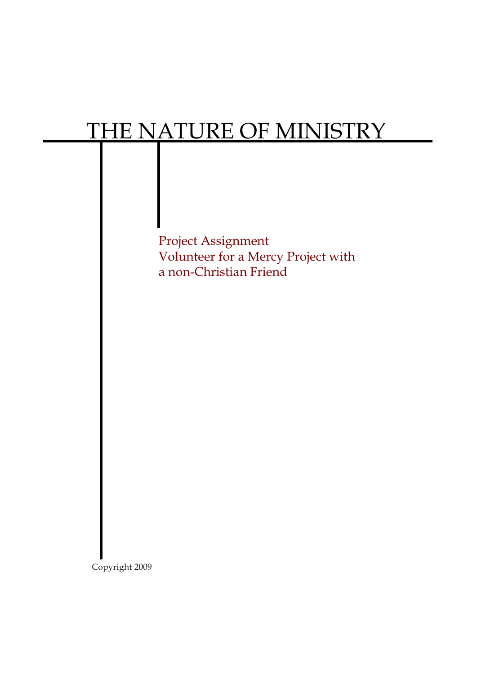## THE NATURE OF MINISTRY



Copyright 2009